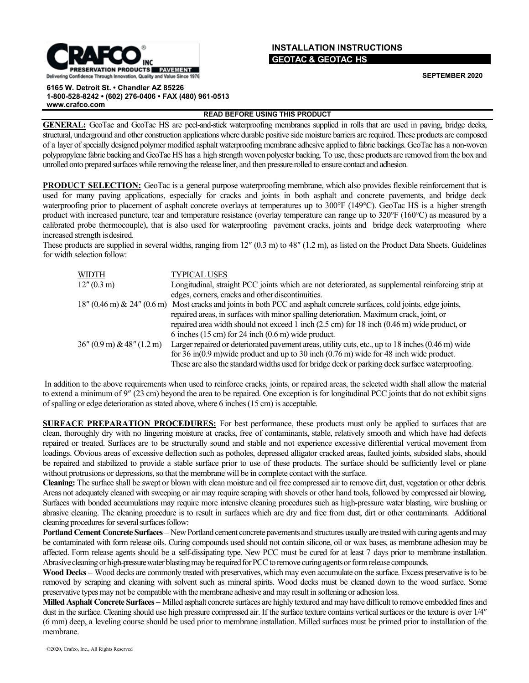## **PRESERVATION PRODUCTS PAVEMENT** Delivering Confidence Through Innovation, Quality and Value Since 1976

## **INSTALLATION INSTRUCTIONS GEOTAC & GEOTAC HS**

**SEPTEMBER 2020**

**6165 W. Detroit St. • Chandler AZ 85226 1-800-528-8242 • (602) 276-0406 • FAX (480) 961-0513 [www.crafco.com](http://www.crafco.com/)**

**READ BEFORE USING THIS PRODUCT**

**GENERAL:** GeoTac and GeoTac HS are peel-and-stick waterproofing membranes supplied in rolls that are used in paving, bridge decks, structural, underground and other construction applications where durable positive side moisture barriers are required. These products are composed of a layer of specially designed polymer modified asphalt waterproofing membrane adhesive applied to fabric backings. GeoTac has a non-woven polypropylene fabric backing and GeoTac HS has a high strength woven polyester backing. To use, these products are removed from the box and unrolled onto prepared surfaces while removing the release liner, and then pressure rolled to ensure contact and adhesion.

**PRODUCT SELECTION:** GeoTac is a general purpose waterproofing membrane, which also provides flexible reinforcement that is used for many paving applications, especially for cracks and joints in both asphalt and concrete pavements, and bridge deck waterproofing prior to placement of asphalt concrete overlays at temperatures up to 300°F (149°C). GeoTac HS is a higher strength product with increased puncture, tear and temperature resistance (overlay temperature can range up to 320°F (160°C) as measured by a calibrated probe thermocouple), that is also used for waterproofing pavement cracks, joints and bridge deck waterproofing where increased strength isdesired.

These products are supplied in several widths, ranging from 12″ (0.3 m) to 48″ (1.2 m), as listed on the Product Data Sheets. Guidelines for width selection follow:

| <b>WIDTH</b>                 | <b>TYPICAL USES</b>                                                                                                    |
|------------------------------|------------------------------------------------------------------------------------------------------------------------|
| $12''(0.3 \text{ m})$        | Longitudinal, straight PCC joints which are not deteriorated, as supplemental reinforcing strip at                     |
|                              | edges, corners, cracks and other discontinuities.                                                                      |
|                              | 18" (0.46 m) & 24" (0.6 m) Most cracks and joints in both PCC and asphalt concrete surfaces, cold joints, edge joints, |
|                              | repaired areas, in surfaces with minor spalling deterioration. Maximum crack, joint, or                                |
|                              | repaired area width should not exceed 1 inch (2.5 cm) for 18 inch (0.46 m) wide product, or                            |
|                              | 6 inches $(15 \text{ cm})$ for 24 inch $(0.6 \text{ m})$ wide product.                                                 |
| $36''$ (0.9 m) & 48" (1.2 m) | Larger repaired or deteriorated pavement areas, utility cuts, etc., up to 18 inches (0.46 m) wide                      |
|                              | for 36 in $(0.9 \text{ m})$ wide product and up to 30 inch $(0.76 \text{ m})$ wide for 48 inch wide product.           |
|                              | These are also the standard widths used for bridge deck or parking deck surface waterproofing.                         |

In addition to the above requirements when used to reinforce cracks, joints, or repaired areas, the selected width shall allow the material to extend a minimum of 9″ (23 cm) beyond the area to be repaired. One exception is for longitudinal PCC joints that do not exhibit signs of spalling or edge deterioration as stated above, where 6 inches (15 cm) is acceptable.

**SURFACE PREPARATION PROCEDURES:** For best performance, these products must only be applied to surfaces that are clean, thoroughly dry with no lingering moisture at cracks, free of contaminants, stable, relatively smooth and which have had defects repaired or treated. Surfaces are to be structurally sound and stable and not experience excessive differential vertical movement from loadings. Obvious areas of excessive deflection such as potholes, depressed alligator cracked areas, faulted joints, subsided slabs, should be repaired and stabilized to provide a stable surface prior to use of these products. The surface should be sufficiently level or plane without protrusions or depressions, so that the membrane will be in complete contact with the surface.

**Cleaning:** The surface shall be swept or blown with clean moisture and oil free compressed air to remove dirt, dust, vegetation or other debris. Areas not adequately cleaned with sweeping or air may require scraping with shovels or other hand tools, followed by compressed air blowing. Surfaces with bonded accumulations may require more intensive cleaning procedures such as high-pressure water blasting, wire brushing or abrasive cleaning. The cleaning procedure is to result in surfaces which are dry and free from dust, dirt or other contaminants. Additional cleaning procedures for several surfaces follow:

**Portland Cement Concrete Surfaces –** New Portland cement concrete pavements and structures usually are treatedwith curing agents andmay be contaminated with form release oils. Curing compounds used should not contain silicone, oil or wax bases, as membrane adhesion may be affected. Form release agents should be a self-dissipating type. New PCC must be cured for at least 7 days prior to membrane installation. Abrasive cleaning or high-pressure water blasting may be required for PCC to remove curing agents or form release compounds.

**Wood Decks –** Wood decks are commonly treated with preservatives, which may even accumulate on the surface. Excess preservative is to be removed by scraping and cleaning with solvent such as mineral spirits. Wood decks must be cleaned down to the wood surface. Some preservative types may not be compatible with the membrane adhesive and may result in softening or adhesion loss.

**Milled Asphalt Concrete Surfaces –** Milled asphalt concrete surfaces are highly textured and may have difficult to remove embedded fines and dust in the surface. Cleaning should use high pressure compressed air. If the surface texture contains vertical surfaces or the texture is over  $1/4$ " (6 mm) deep, a leveling course should be used prior to membrane installation. Milled surfaces must be primed prior to installation of the membrane.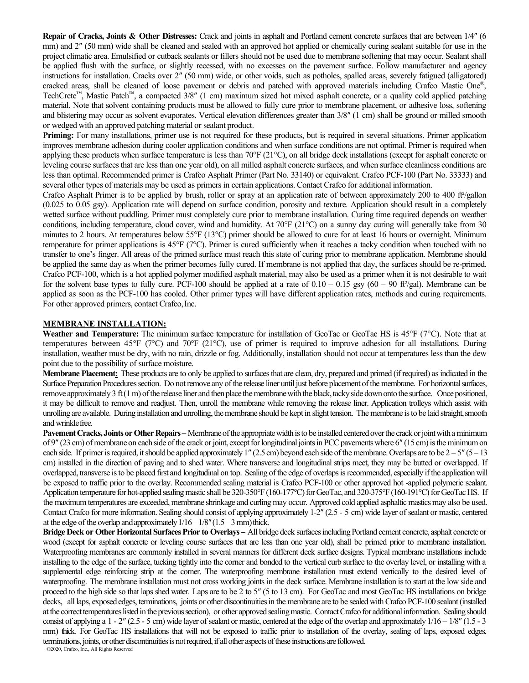**Repair of Cracks, Joints & Other Distresses:** Crack and joints in asphalt and Portland cement concrete surfaces that are between 1/4″ (6 mm) and 2" (50 mm) wide shall be cleaned and sealed with an approved hot applied or chemically curing sealant suitable for use in the project climatic area. Emulsified or cutback sealants or fillers should not be used due to membrane softening that may occur. Sealant shall be applied flush with the surface, or slightly recessed, with no excesses on the pavement surface. Follow manufacturer and agency instructions for installation. Cracks over 2″ (50 mm) wide, or other voids, such as potholes, spalled areas, severely fatigued (alligatored) cracked areas, shall be cleaned of loose pavement or debris and patched with approved materials including Crafco Mastic One®, TechCrete<sup>™</sup>, Mastic Patch<sup>™</sup>, a compacted 3/8" (1 cm) maximum sized hot mixed asphalt concrete, or a quality cold applied patching material. Note that solvent containing products must be allowed to fully cure prior to membrane placement, or adhesive loss, softening and blistering may occur as solvent evaporates. Vertical elevation differences greater than 3/8″ (1 cm) shall be ground or milled smooth or wedged with an approved patching material or sealant product.

**Priming:** For many installations, primer use is not required for these products, but is required in several situations. Primer application improves membrane adhesion during cooler application conditions and when surface conditions are not optimal. Primer is required when applying these products when surface temperature is less than 70°F (21°C), on all bridge deck installations (except for asphalt concrete or leveling course surfaces that are less than one year old), on all milled asphalt concrete surfaces, and when surface cleanliness conditions are less than optimal. Recommended primer is Crafco Asphalt Primer (Part No. 33140) or equivalent. Crafco PCF-100 (Part No. 33333) and several other types of materials may be used as primers in certain applications. Contact Crafco for additional information.

Crafco Asphalt Primer is to be applied by brush, roller or spray at an application rate of between approximately 200 to 400 ft²/gallon (0.025 to 0.05 gsy). Application rate will depend on surface condition, porosity and texture. Application should result in a completely wetted surface without puddling. Primer must completely cure prior to membrane installation. Curing time required depends on weather conditions, including temperature, cloud cover, wind and humidity. At 70°F (21°C) on a sunny day curing will generally take from 30 minutes to 2 hours. At temperatures below 55°F (13°C) primer should be allowed to cure for at least 16 hours or overnight. Minimum temperature for primer applications is 45°F (7°C). Primer is cured sufficiently when it reaches a tacky condition when touched with no transfer to one's finger. All areas of the primed surface must reach this state of curing prior to membrane application. Membrane should be applied the same day as when the primer becomes fully cured. If membrane is not applied that day, the surfaces should be re-primed. Crafco PCF-100, which is a hot applied polymer modified asphalt material, may also be used as a primer when it is not desirable to wait for the solvent base types to fully cure. PCF-100 should be applied at a rate of  $0.10 - 0.15$  gsy  $(60 - 90$  ft<sup>2</sup>/gal). Membrane can be applied as soon as the PCF-100 has cooled. Other primer types will have different application rates, methods and curing requirements. For other approved primers, contact Crafco, Inc.

## **MEMBRANE INSTALLATION:**

**Weather and Temperature:** The minimum surface temperature for installation of GeoTac or GeoTac HS is 45°F (7°C). Note that at temperatures between 45°F ( $7^{\circ}$ C) and  $70^{\circ}$ F ( $21^{\circ}$ C), use of primer is required to improve adhesion for all installations. During installation, weather must be dry, with no rain, drizzle or fog. Additionally, installation should not occur at temperatures less than the dew point due to the possibility of surface moisture.

**Membrane Placement:** These products are to only be applied to surfaces that are clean, dry, prepared and primed (if required) as indicated in the Surface Preparation Procedures section. Do not remove any of the release liner until just before placement of the membrane. For horizontal surfaces, remove approximately 3 ft (1 m) of the release liner and then place the membrane with the black, tacky side down onto the surface. Once positioned, it may be difficult to remove and readjust. Then, unroll the membrane while removing the release liner. Application trolleys which assist with unrolling are available. During installation and unrolling, the membrane should be kept in slight tension. The membrane is to be laid straight, smooth and wrinklefree.

**Pavement Cracks, Joints or Other Repairs** – Membrane of the appropriate width is to be installed centered over the crack or joint with a minimum of 9"  $(23 \text{ cm})$  of membrane on each side of the crack or joint, except for longitudinal joints in PCC pavements where 6"  $(15 \text{ cm})$  is the minimum on each side. If primer is required, it should be applied approximately 1" (2.5 cm) beyond each side of the membrane. Overlaps are to be  $2-5$ " (5 – 13) cm) installed in the direction of paving and to shed water. Where transverse and longitudinal strips meet, they may be butted or overlapped. If overlapped, transverse is to be placed first and longitudinal on top. Sealing of the edge of overlaps is recommended, especially if the application will be exposed to traffic prior to the overlay. Recommended sealing material is Crafco PCF-100 or other approved hot -applied polymeric sealant. Application temperature for hot-applied sealing mastic shall be 320-350°F (160-177°C) for GeoTac, and 320-375°F (160-191°C) for GeoTac HS. If the maximum temperatures are exceeded, membrane shrinkage and curling may occur. Approved cold applied asphaltic mastics may also be used. Contact Crafco for more information. Sealing should consist of applying approximately 1-2″ (2.5 - 5 cm) wide layer of sealant or mastic, centered at the edge of the overlap and approximately  $1/16-1/8''(1.5-3$  mm) thick.

**Bridge Deck or Other Horizontal Surfaces Prior to Overlays –** All bridge deck surfaces includingPortland cement concrete, asphalt concrete or wood (except for asphalt concrete or leveling course surfaces that are less than one year old), shall be primed prior to membrane installation. Waterproofing membranes are commonly installed in several manners for different deck surface designs. Typical membrane installations include installing to the edge of the surface, tucking tightly into the corner and bonded to the vertical curb surface to the overlay level, or installing with a supplemental edge reinforcing strip at the corner. The waterproofing membrane installation must extend vertically to the desired level of waterproofing. The membrane installation must not cross working joints in the deck surface. Membrane installation isto start at the low side and proceed to the high side so that lapsshed water. Laps are to be 2 to 5″ (5 to 13 cm). For GeoTac and most GeoTac HS installations on bridge decks, all laps, exposed edges, terminations, joints or other discontinuities in the membrane are to be sealed with Crafco PCF-100 sealant (installed at the correct temperatures listed in the previous section), or other approved sealing mastic. Contact Crafco for additional information. Sealing should consist of applying a  $1 - 2$ " (2.5 - 5 cm) wide layer of sealant or mastic, centered at the edge of the overlap and approximately  $1/16 - 1/8$ " (1.5 - 3 mm) thick. For GeoTac HS installations that will not be exposed to traffic prior to installation of the overlay, sealing of laps, exposed edges, terminations, joints, or other discontinuities is not required, if all other aspects of these instructions are followed.

©2020, Crafco, Inc., All Rights Reserved